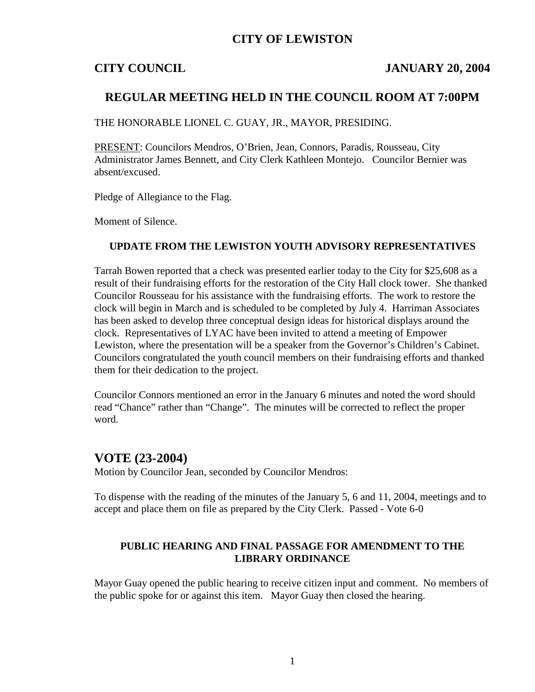## **CITY OF LEWISTON**

## **CITY COUNCIL JANUARY 20, 2004**

## **REGULAR MEETING HELD IN THE COUNCIL ROOM AT 7:00PM**

THE HONORABLE LIONEL C. GUAY, JR., MAYOR, PRESIDING.

PRESENT: Councilors Mendros, O'Brien, Jean, Connors, Paradis, Rousseau, City Administrator James Bennett, and City Clerk Kathleen Montejo. Councilor Bernier was absent/excused.

Pledge of Allegiance to the Flag.

Moment of Silence.

### **UPDATE FROM THE LEWISTON YOUTH ADVISORY REPRESENTATIVES**

Tarrah Bowen reported that a check was presented earlier today to the City for \$25,608 as a result of their fundraising efforts for the restoration of the City Hall clock tower. She thanked Councilor Rousseau for his assistance with the fundraising efforts. The work to restore the clock will begin in March and is scheduled to be completed by July 4. Harriman Associates has been asked to develop three conceptual design ideas for historical displays around the clock. Representatives of LYAC have been invited to attend a meeting of Empower Lewiston, where the presentation will be a speaker from the Governor's Children's Cabinet. Councilors congratulated the youth council members on their fundraising efforts and thanked them for their dedication to the project.

Councilor Connors mentioned an error in the January 6 minutes and noted the word should read "Chance" rather than "Change". The minutes will be corrected to reflect the proper word.

### **VOTE (23-2004)**

Motion by Councilor Jean, seconded by Councilor Mendros:

To dispense with the reading of the minutes of the January 5, 6 and 11, 2004, meetings and to accept and place them on file as prepared by the City Clerk. Passed - Vote 6-0

#### **PUBLIC HEARING AND FINAL PASSAGE FOR AMENDMENT TO THE LIBRARY ORDINANCE**

Mayor Guay opened the public hearing to receive citizen input and comment. No members of the public spoke for or against this item. Mayor Guay then closed the hearing.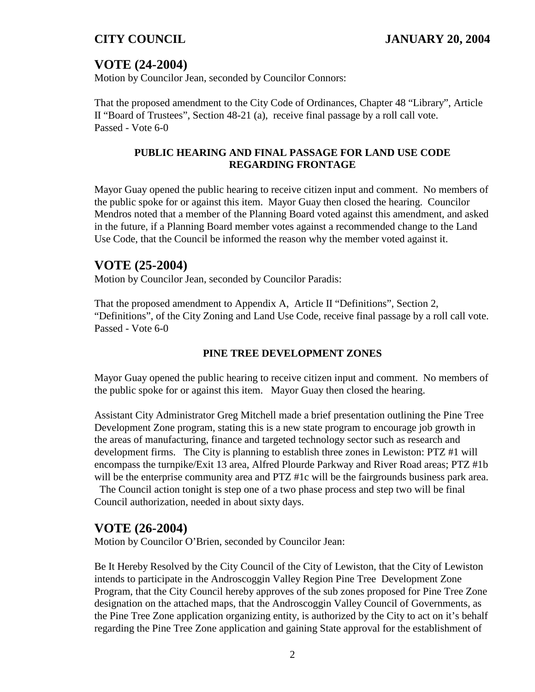# **VOTE (24-2004)**

Motion by Councilor Jean, seconded by Councilor Connors:

That the proposed amendment to the City Code of Ordinances, Chapter 48 "Library", Article II "Board of Trustees", Section 48-21 (a), receive final passage by a roll call vote. Passed - Vote 6-0

## **PUBLIC HEARING AND FINAL PASSAGE FOR LAND USE CODE REGARDING FRONTAGE**

Mayor Guay opened the public hearing to receive citizen input and comment. No members of the public spoke for or against this item. Mayor Guay then closed the hearing. Councilor Mendros noted that a member of the Planning Board voted against this amendment, and asked in the future, if a Planning Board member votes against a recommended change to the Land Use Code, that the Council be informed the reason why the member voted against it.

## **VOTE (25-2004)**

Motion by Councilor Jean, seconded by Councilor Paradis:

That the proposed amendment to Appendix A, Article II "Definitions", Section 2, "Definitions", of the City Zoning and Land Use Code, receive final passage by a roll call vote. Passed - Vote 6-0

## **PINE TREE DEVELOPMENT ZONES**

Mayor Guay opened the public hearing to receive citizen input and comment. No members of the public spoke for or against this item. Mayor Guay then closed the hearing.

Assistant City Administrator Greg Mitchell made a brief presentation outlining the Pine Tree Development Zone program, stating this is a new state program to encourage job growth in the areas of manufacturing, finance and targeted technology sector such as research and development firms. The City is planning to establish three zones in Lewiston: PTZ #1 will encompass the turnpike/Exit 13 area, Alfred Plourde Parkway and River Road areas; PTZ #1b will be the enterprise community area and PTZ #1c will be the fairgrounds business park area.

The Council action tonight is step one of a two phase process and step two will be final Council authorization, needed in about sixty days.

## **VOTE (26-2004)**

Motion by Councilor O'Brien, seconded by Councilor Jean:

Be It Hereby Resolved by the City Council of the City of Lewiston, that the City of Lewiston intends to participate in the Androscoggin Valley Region Pine Tree Development Zone Program, that the City Council hereby approves of the sub zones proposed for Pine Tree Zone designation on the attached maps, that the Androscoggin Valley Council of Governments, as the Pine Tree Zone application organizing entity, is authorized by the City to act on it's behalf regarding the Pine Tree Zone application and gaining State approval for the establishment of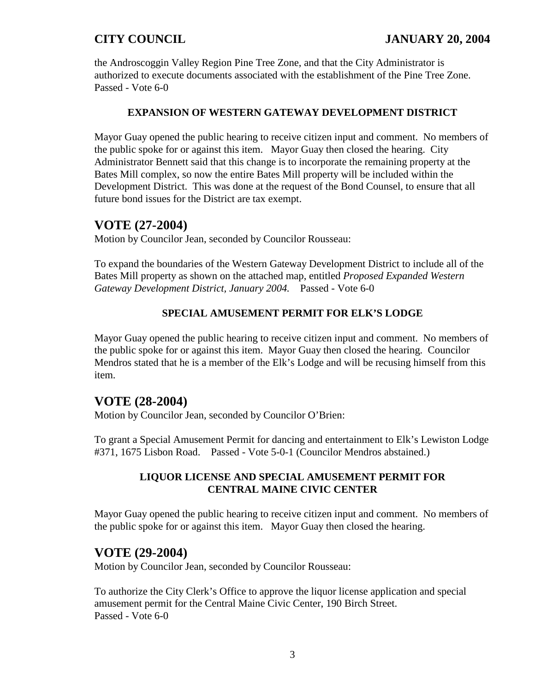the Androscoggin Valley Region Pine Tree Zone, and that the City Administrator is authorized to execute documents associated with the establishment of the Pine Tree Zone. Passed - Vote 6-0

### **EXPANSION OF WESTERN GATEWAY DEVELOPMENT DISTRICT**

Mayor Guay opened the public hearing to receive citizen input and comment. No members of the public spoke for or against this item. Mayor Guay then closed the hearing. City Administrator Bennett said that this change is to incorporate the remaining property at the Bates Mill complex, so now the entire Bates Mill property will be included within the Development District. This was done at the request of the Bond Counsel, to ensure that all future bond issues for the District are tax exempt.

## **VOTE (27-2004)**

Motion by Councilor Jean, seconded by Councilor Rousseau:

To expand the boundaries of the Western Gateway Development District to include all of the Bates Mill property as shown on the attached map, entitled *Proposed Expanded Western Gateway Development District, January 2004.* Passed - Vote 6-0

### **SPECIAL AMUSEMENT PERMIT FOR ELK'S LODGE**

Mayor Guay opened the public hearing to receive citizen input and comment. No members of the public spoke for or against this item. Mayor Guay then closed the hearing. Councilor Mendros stated that he is a member of the Elk's Lodge and will be recusing himself from this item.

## **VOTE (28-2004)**

Motion by Councilor Jean, seconded by Councilor O'Brien:

To grant a Special Amusement Permit for dancing and entertainment to Elk's Lewiston Lodge #371, 1675 Lisbon Road. Passed - Vote 5-0-1 (Councilor Mendros abstained.)

## **LIQUOR LICENSE AND SPECIAL AMUSEMENT PERMIT FOR CENTRAL MAINE CIVIC CENTER**

Mayor Guay opened the public hearing to receive citizen input and comment. No members of the public spoke for or against this item. Mayor Guay then closed the hearing.

## **VOTE (29-2004)**

Motion by Councilor Jean, seconded by Councilor Rousseau:

To authorize the City Clerk's Office to approve the liquor license application and special amusement permit for the Central Maine Civic Center, 190 Birch Street. Passed - Vote 6-0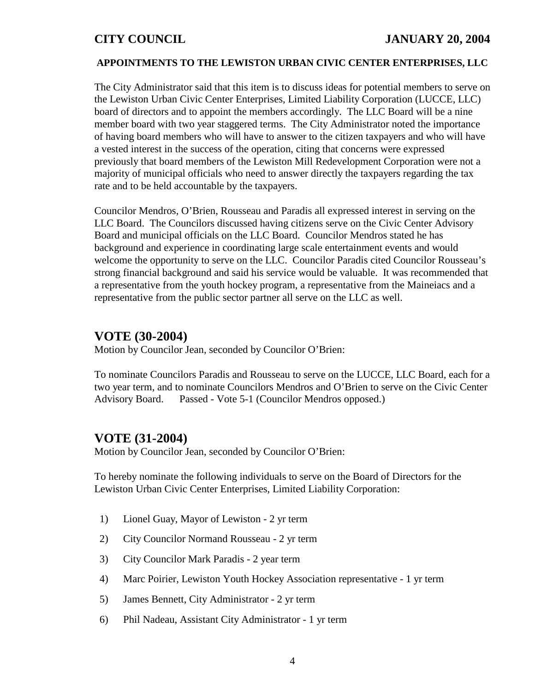## **CITY COUNCIL JANUARY 20, 2004**

### **APPOINTMENTS TO THE LEWISTON URBAN CIVIC CENTER ENTERPRISES, LLC**

The City Administrator said that this item is to discuss ideas for potential members to serve on the Lewiston Urban Civic Center Enterprises, Limited Liability Corporation (LUCCE, LLC) board of directors and to appoint the members accordingly. The LLC Board will be a nine member board with two year staggered terms. The City Administrator noted the importance of having board members who will have to answer to the citizen taxpayers and who will have a vested interest in the success of the operation, citing that concerns were expressed previously that board members of the Lewiston Mill Redevelopment Corporation were not a majority of municipal officials who need to answer directly the taxpayers regarding the tax rate and to be held accountable by the taxpayers.

Councilor Mendros, O'Brien, Rousseau and Paradis all expressed interest in serving on the LLC Board. The Councilors discussed having citizens serve on the Civic Center Advisory Board and municipal officials on the LLC Board. Councilor Mendros stated he has background and experience in coordinating large scale entertainment events and would welcome the opportunity to serve on the LLC. Councilor Paradis cited Councilor Rousseau's strong financial background and said his service would be valuable. It was recommended that a representative from the youth hockey program, a representative from the Maineiacs and a representative from the public sector partner all serve on the LLC as well.

## **VOTE (30-2004)**

Motion by Councilor Jean, seconded by Councilor O'Brien:

To nominate Councilors Paradis and Rousseau to serve on the LUCCE, LLC Board, each for a two year term, and to nominate Councilors Mendros and O'Brien to serve on the Civic Center Advisory Board. Passed - Vote 5-1 (Councilor Mendros opposed.)

## **VOTE (31-2004)**

Motion by Councilor Jean, seconded by Councilor O'Brien:

To hereby nominate the following individuals to serve on the Board of Directors for the Lewiston Urban Civic Center Enterprises, Limited Liability Corporation:

- 1) Lionel Guay, Mayor of Lewiston 2 yr term
- 2) City Councilor Normand Rousseau 2 yr term
- 3) City Councilor Mark Paradis 2 year term
- 4) Marc Poirier, Lewiston Youth Hockey Association representative 1 yr term
- 5) James Bennett, City Administrator 2 yr term
- 6) Phil Nadeau, Assistant City Administrator 1 yr term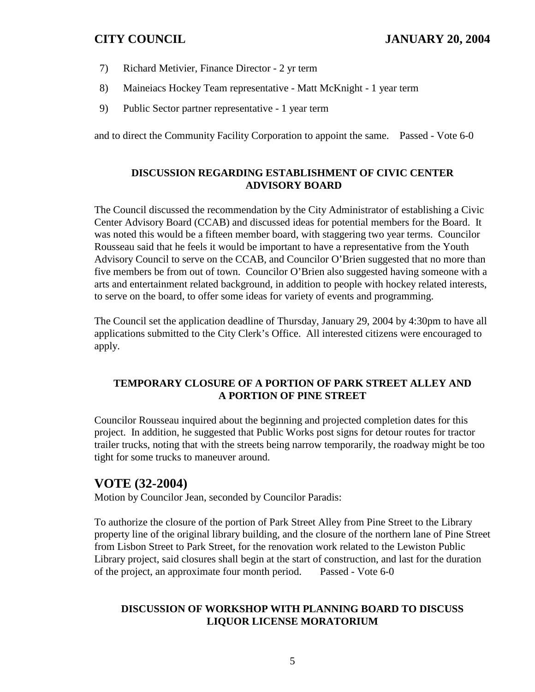- 7) Richard Metivier, Finance Director 2 yr term
- 8) Maineiacs Hockey Team representative Matt McKnight 1 year term
- 9) Public Sector partner representative 1 year term

and to direct the Community Facility Corporation to appoint the same. Passed - Vote 6-0

## **DISCUSSION REGARDING ESTABLISHMENT OF CIVIC CENTER ADVISORY BOARD**

The Council discussed the recommendation by the City Administrator of establishing a Civic Center Advisory Board (CCAB) and discussed ideas for potential members for the Board. It was noted this would be a fifteen member board, with staggering two year terms. Councilor Rousseau said that he feels it would be important to have a representative from the Youth Advisory Council to serve on the CCAB, and Councilor O'Brien suggested that no more than five members be from out of town. Councilor O'Brien also suggested having someone with a arts and entertainment related background, in addition to people with hockey related interests, to serve on the board, to offer some ideas for variety of events and programming.

The Council set the application deadline of Thursday, January 29, 2004 by 4:30pm to have all applications submitted to the City Clerk's Office. All interested citizens were encouraged to apply.

## **TEMPORARY CLOSURE OF A PORTION OF PARK STREET ALLEY AND A PORTION OF PINE STREET**

Councilor Rousseau inquired about the beginning and projected completion dates for this project. In addition, he suggested that Public Works post signs for detour routes for tractor trailer trucks, noting that with the streets being narrow temporarily, the roadway might be too tight for some trucks to maneuver around.

## **VOTE (32-2004)**

Motion by Councilor Jean, seconded by Councilor Paradis:

To authorize the closure of the portion of Park Street Alley from Pine Street to the Library property line of the original library building, and the closure of the northern lane of Pine Street from Lisbon Street to Park Street, for the renovation work related to the Lewiston Public Library project, said closures shall begin at the start of construction, and last for the duration of the project, an approximate four month period. Passed - Vote 6-0

## **DISCUSSION OF WORKSHOP WITH PLANNING BOARD TO DISCUSS LIQUOR LICENSE MORATORIUM**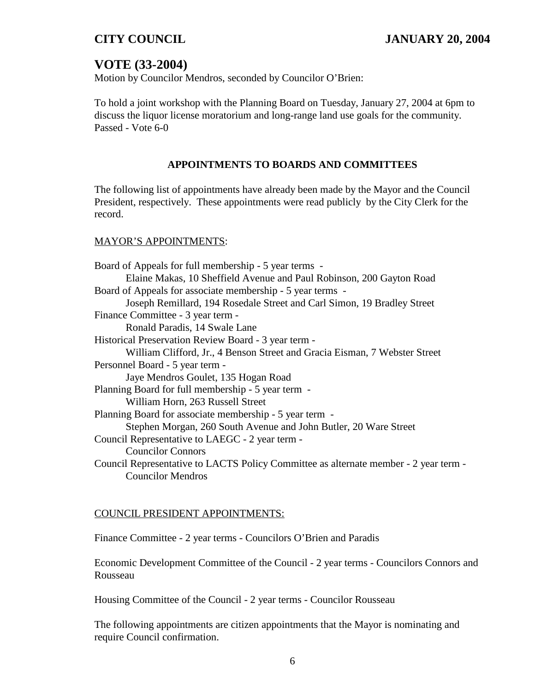# **VOTE (33-2004)**

Motion by Councilor Mendros, seconded by Councilor O'Brien:

To hold a joint workshop with the Planning Board on Tuesday, January 27, 2004 at 6pm to discuss the liquor license moratorium and long-range land use goals for the community. Passed - Vote 6-0

### **APPOINTMENTS TO BOARDS AND COMMITTEES**

The following list of appointments have already been made by the Mayor and the Council President, respectively. These appointments were read publicly by the City Clerk for the record.

### MAYOR'S APPOINTMENTS:

| Board of Appeals for full membership - 5 year terms -                                |  |
|--------------------------------------------------------------------------------------|--|
| Elaine Makas, 10 Sheffield Avenue and Paul Robinson, 200 Gayton Road                 |  |
| Board of Appeals for associate membership - 5 year terms -                           |  |
| Joseph Remillard, 194 Rosedale Street and Carl Simon, 19 Bradley Street              |  |
| Finance Committee - 3 year term -                                                    |  |
| Ronald Paradis, 14 Swale Lane                                                        |  |
| Historical Preservation Review Board - 3 year term -                                 |  |
| William Clifford, Jr., 4 Benson Street and Gracia Eisman, 7 Webster Street           |  |
| Personnel Board - 5 year term -                                                      |  |
| Jaye Mendros Goulet, 135 Hogan Road                                                  |  |
| Planning Board for full membership - 5 year term -                                   |  |
| William Horn, 263 Russell Street                                                     |  |
| Planning Board for associate membership - 5 year term -                              |  |
| Stephen Morgan, 260 South Avenue and John Butler, 20 Ware Street                     |  |
| Council Representative to LAEGC - 2 year term -                                      |  |
| <b>Councilor Connors</b>                                                             |  |
| Council Representative to LACTS Policy Committee as alternate member - 2 year term - |  |
| <b>Councilor Mendros</b>                                                             |  |

### COUNCIL PRESIDENT APPOINTMENTS:

Finance Committee - 2 year terms - Councilors O'Brien and Paradis

Economic Development Committee of the Council - 2 year terms - Councilors Connors and Rousseau

Housing Committee of the Council - 2 year terms - Councilor Rousseau

The following appointments are citizen appointments that the Mayor is nominating and require Council confirmation.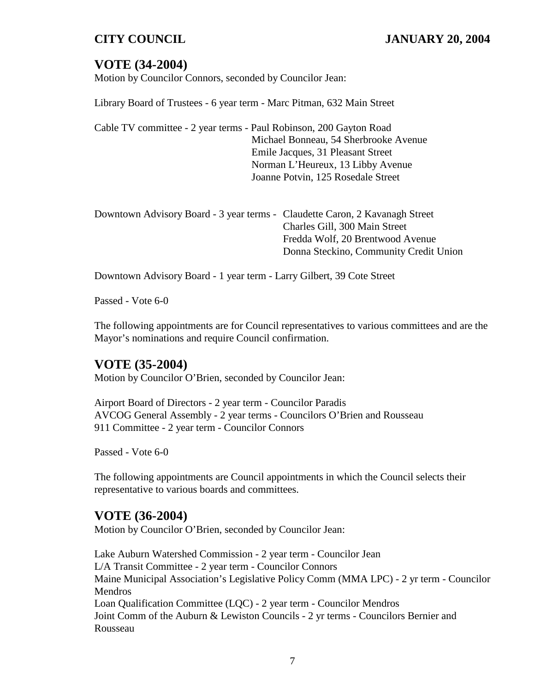# **VOTE (34-2004)**

Motion by Councilor Connors, seconded by Councilor Jean:

Library Board of Trustees - 6 year term - Marc Pitman, 632 Main Street

Cable TV committee - 2 year terms - Paul Robinson, 200 Gayton Road Michael Bonneau, 54 Sherbrooke Avenue Emile Jacques, 31 Pleasant Street Norman L'Heureux, 13 Libby Avenue Joanne Potvin, 125 Rosedale Street

| Downtown Advisory Board - 3 year terms - Claudette Caron, 2 Kavanagh Street |
|-----------------------------------------------------------------------------|
| Charles Gill, 300 Main Street                                               |
| Fredda Wolf, 20 Brentwood Avenue                                            |
| Donna Steckino, Community Credit Union                                      |
|                                                                             |

Downtown Advisory Board - 1 year term - Larry Gilbert, 39 Cote Street

Passed - Vote 6-0

The following appointments are for Council representatives to various committees and are the Mayor's nominations and require Council confirmation.

## **VOTE (35-2004)**

Motion by Councilor O'Brien, seconded by Councilor Jean:

Airport Board of Directors - 2 year term - Councilor Paradis AVCOG General Assembly - 2 year terms - Councilors O'Brien and Rousseau 911 Committee - 2 year term - Councilor Connors

Passed - Vote 6-0

The following appointments are Council appointments in which the Council selects their representative to various boards and committees.

## **VOTE (36-2004)**

Motion by Councilor O'Brien, seconded by Councilor Jean:

Lake Auburn Watershed Commission - 2 year term - Councilor Jean L/A Transit Committee - 2 year term - Councilor Connors Maine Municipal Association's Legislative Policy Comm (MMA LPC) - 2 yr term - Councilor Mendros Loan Qualification Committee (LQC) - 2 year term - Councilor Mendros Joint Comm of the Auburn & Lewiston Councils - 2 yr terms - Councilors Bernier and Rousseau